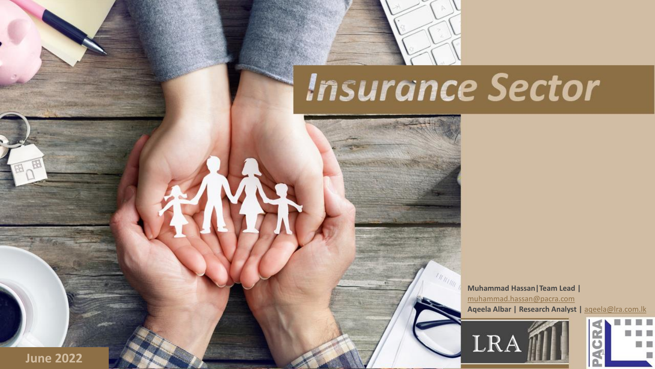

# **Insurance Sector**

**IN RUNA** 

**Muhammad Hassan|Team Lead |** [muhammad.hassan@pacra.com](mailto:muhammad.hassan@pacra.com) **Aqeela Albar | Research Analyst |** [aqeela@lra.com.lk](mailto:aqeela@lra.com.lk)





**June 2022**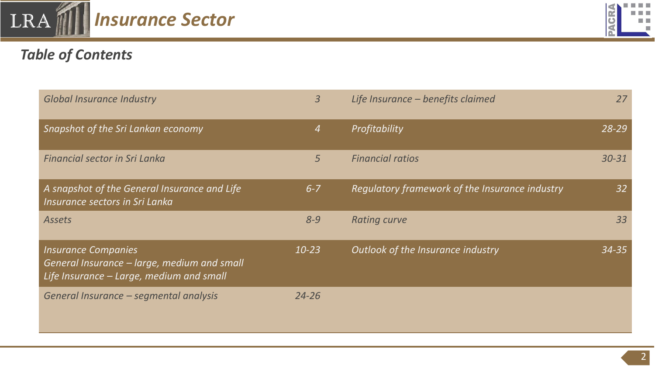

# *Table of Contents*

| <b>Global Insurance Industry</b>                                                                                      | $\overline{3}$ | Life Insurance - benefits claimed                     | 27        |
|-----------------------------------------------------------------------------------------------------------------------|----------------|-------------------------------------------------------|-----------|
| Snapshot of the Sri Lankan economy                                                                                    | 4              | Profitability                                         | 28-29     |
| <b>Financial sector in Sri Lanka</b>                                                                                  | 5              | <b>Financial ratios</b>                               | 30-31     |
| A snapshot of the General Insurance and Life<br>Insurance sectors in Sri Lanka                                        | $6 - 7$        | <b>Regulatory framework of the Insurance industry</b> | 32        |
| <b>Assets</b>                                                                                                         | $8 - 9$        | <b>Rating curve</b>                                   | 33        |
| <b>Insurance Companies</b><br>General Insurance - large, medium and small<br>Life Insurance - Large, medium and small | $10 - 23$      | Outlook of the Insurance industry                     | $34 - 35$ |
| General Insurance - segmental analysis                                                                                | $24 - 26$      |                                                       |           |

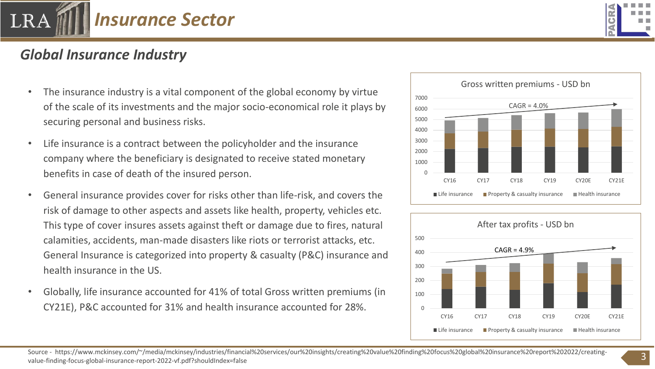

# *Global Insurance Industry*

- The insurance industry is a vital component of the global economy by virtue of the scale of its investments and the major socio-economical role it plays by securing personal and business risks.
- Life insurance is a contract between the policyholder and the insurance company where the beneficiary is designated to receive stated monetary benefits in case of death of the insured person.
- General insurance provides cover for risks other than life-risk, and covers the risk of damage to other aspects and assets like health, property, vehicles etc. This type of cover insures assets against theft or damage due to fires, natural calamities, accidents, man-made disasters like riots or terrorist attacks, etc. General Insurance is categorized into property & casualty (P&C) insurance and health insurance in the US.
- Globally, life insurance accounted for 41% of total Gross written premiums (in CY21E), P&C accounted for 31% and health insurance accounted for 28%.



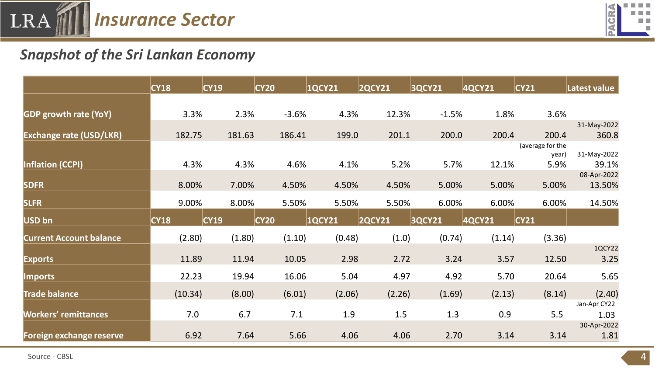



## *Snapshot of the Sri Lankan Economy*

|                                | CY18    | CY19   | CY20    | 1QCY21        | <b>2QCY21</b> | <b>3QCY21</b> | 4QCY21 | CY21             | Latest value           |
|--------------------------------|---------|--------|---------|---------------|---------------|---------------|--------|------------------|------------------------|
|                                |         |        |         |               |               |               |        |                  |                        |
| <b>GDP growth rate (YoY)</b>   | 3.3%    | 2.3%   | $-3.6%$ | 4.3%          | 12.3%         | $-1.5%$       | 1.8%   | 3.6%             |                        |
| <b>Exchange rate (USD/LKR)</b> | 182.75  | 181.63 | 186.41  | 199.0         | 201.1         | 200.0         | 200.4  | 200.4            | 31-May-2022<br>360.8   |
|                                |         |        |         |               |               |               |        | (average for the |                        |
| <b>Inflation (CCPI)</b>        | 4.3%    | 4.3%   | 4.6%    | 4.1%          | 5.2%          | 5.7%          | 12.1%  | year)<br>5.9%    | 31-May-2022<br>39.1%   |
| <b>SDFR</b>                    | 8.00%   | 7.00%  | 4.50%   | 4.50%         | 4.50%         | 5.00%         | 5.00%  | 5.00%            | 08-Apr-2022<br>13.50%  |
| <b>SLFR</b>                    | 9.00%   | 8.00%  | 5.50%   | 5.50%         | 5.50%         | 6.00%         | 6.00%  | 6.00%            | 14.50%                 |
| USD bn                         | CY18    | CY19   | CY20    | <b>1QCY21</b> | <b>2QCY21</b> | <b>3QCY21</b> | 4QCY21 | CY21             |                        |
| <b>Current Account balance</b> | (2.80)  | (1.80) | (1.10)  | (0.48)        | (1.0)         | (0.74)        | (1.14) | (3.36)           |                        |
| <b>Exports</b>                 | 11.89   | 11.94  | 10.05   | 2.98          | 2.72          | 3.24          | 3.57   | 12.50            | 1QCY22<br>3.25         |
| <b>Imports</b>                 | 22.23   | 19.94  | 16.06   | 5.04          | 4.97          | 4.92          | 5.70   | 20.64            | 5.65                   |
| <b>Trade balance</b>           | (10.34) | (8.00) | (6.01)  | (2.06)        | (2.26)        | (1.69)        | (2.13) | (8.14)           | (2.40)<br>Jan-Apr CY22 |
| <b>Workers' remittances</b>    | 7.0     | 6.7    | 7.1     | 1.9           | 1.5           | 1.3           | 0.9    | 5.5              | 1.03                   |
| Foreign exchange reserve       | 6.92    | 7.64   | 5.66    | 4.06          | 4.06          | 2.70          | 3.14   | 3.14             | 30-Apr-2022<br>1.81    |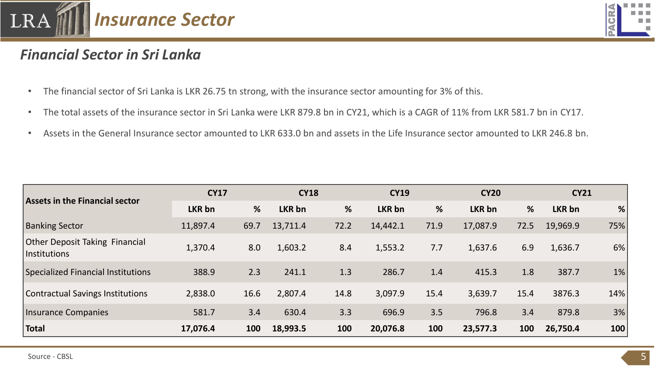



#### *Financial Sector in Sri Lanka*

- The financial sector of Sri Lanka is LKR 26.75 tn strong, with the insurance sector amounting for 3% of this.
- The total assets of the insurance sector in Sri Lanka were LKR 879.8 bn in CY21, which is a CAGR of 11% from LKR 581.7 bn in CY17.
- Assets in the General Insurance sector amounted to LKR 633.0 bn and assets in the Life Insurance sector amounted to LKR 246.8 bn.

|                                                       | <b>CY17</b> |      | <b>CY18</b>   |      | <b>CY19</b>   |      | <b>CY20</b> |      |               | <b>CY21</b> |  |
|-------------------------------------------------------|-------------|------|---------------|------|---------------|------|-------------|------|---------------|-------------|--|
| <b>Assets in the Financial sector</b>                 | LKR bn      | %    | <b>LKR bn</b> | %    | <b>LKR</b> bn | %    | LKR bn      | %    | <b>LKR bn</b> | %           |  |
| <b>Banking Sector</b>                                 | 11,897.4    | 69.7 | 13,711.4      | 72.2 | 14,442.1      | 71.9 | 17,087.9    | 72.5 | 19,969.9      | 75%         |  |
| <b>Other Deposit Taking Financial</b><br>Institutions | 1,370.4     | 8.0  | 1,603.2       | 8.4  | 1,553.2       | 7.7  | 1,637.6     | 6.9  | 1,636.7       | 6%          |  |
| Specialized Financial Institutions                    | 388.9       | 2.3  | 241.1         | 1.3  | 286.7         | 1.4  | 415.3       | 1.8  | 387.7         | $1\%$       |  |
| <b>Contractual Savings Institutions</b>               | 2,838.0     | 16.6 | 2,807.4       | 14.8 | 3,097.9       | 15.4 | 3,639.7     | 15.4 | 3876.3        | 14%         |  |
| Insurance Companies                                   | 581.7       | 3.4  | 630.4         | 3.3  | 696.9         | 3.5  | 796.8       | 3.4  | 879.8         | 3%          |  |
| Total                                                 | 17,076.4    | 100  | 18,993.5      | 100  | 20,076.8      | 100  | 23,577.3    | 100  | 26,750.4      | 100         |  |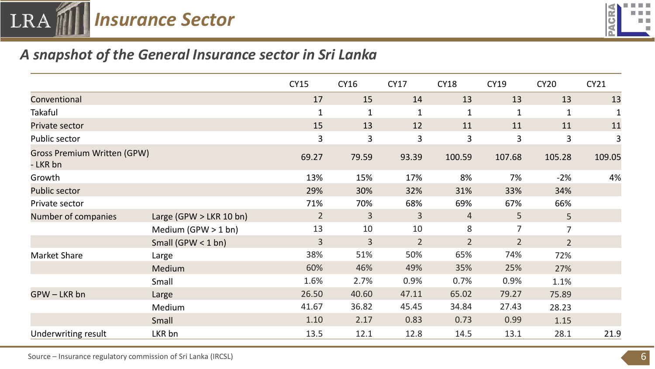



#### *A snapshot of the General Insurance sector in Sri Lanka*

|                                                |                           | <b>CY15</b>    | <b>CY16</b>    | <b>CY17</b>    | <b>CY18</b>    | <b>CY19</b>    | <b>CY20</b>    | CY21   |
|------------------------------------------------|---------------------------|----------------|----------------|----------------|----------------|----------------|----------------|--------|
| Conventional                                   |                           | 17             | 15             | 14             | 13             | 13             | 13             | 13     |
| <b>Takaful</b>                                 |                           | 1              | 1              | 1              | $\mathbf{1}$   | $\mathbf{1}$   | 1              |        |
| Private sector                                 |                           | 15             | 13             | 12             | 11             | 11             | 11             | 11     |
| Public sector                                  |                           | 3              | 3              | 3              | 3              | 3              | 3              | 3      |
| <b>Gross Premium Written (GPW)</b><br>- LKR bn |                           | 69.27          | 79.59          | 93.39          | 100.59         | 107.68         | 105.28         | 109.05 |
| Growth                                         |                           | 13%            | 15%            | 17%            | 8%             | 7%             | $-2%$          | 4%     |
| <b>Public sector</b>                           |                           | 29%            | 30%            | 32%            | 31%            | 33%            | 34%            |        |
| Private sector                                 |                           | 71%            | 70%            | 68%            | 69%            | 67%            | 66%            |        |
| Number of companies                            | Large (GPW $>$ LKR 10 bn) | $\overline{2}$ | $\overline{3}$ | $\overline{3}$ | $\overline{4}$ | 5 <sup>1</sup> | 5 <sup>1</sup> |        |
|                                                | Medium (GPW $>$ 1 bn)     | 13             | 10             | 10             | 8              | $\overline{7}$ | $\overline{7}$ |        |
|                                                | Small (GPW $<$ 1 bn)      | $\overline{3}$ | $\overline{3}$ | $\overline{2}$ | $\overline{2}$ | 2 <sup>1</sup> | 2 <sup>1</sup> |        |
| <b>Market Share</b>                            | Large                     | 38%            | 51%            | 50%            | 65%            | 74%            | 72%            |        |
|                                                | Medium                    | 60%            | 46%            | 49%            | 35%            | 25%            | 27%            |        |
|                                                | Small                     | 1.6%           | 2.7%           | 0.9%           | 0.7%           | 0.9%           | 1.1%           |        |
| GPW-LKR bn                                     | Large                     | 26.50          | 40.60          | 47.11          | 65.02          | 79.27          | 75.89          |        |
|                                                | Medium                    | 41.67          | 36.82          | 45.45          | 34.84          | 27.43          | 28.23          |        |
|                                                | Small                     | 1.10           | 2.17           | 0.83           | 0.73           | 0.99           | 1.15           |        |
| Underwriting result                            | LKR bn                    | 13.5           | 12.1           | 12.8           | 14.5           | 13.1           | 28.1           | 21.9   |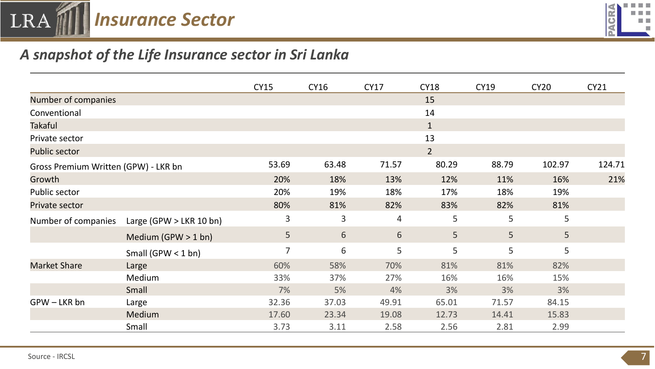



#### *A snapshot of the Life Insurance sector in Sri Lanka*

|                                      |                           | <b>CY15</b>    | <b>CY16</b> | <b>CY17</b>    | <b>CY18</b>  | <b>CY19</b> | <b>CY20</b> | <b>CY21</b> |
|--------------------------------------|---------------------------|----------------|-------------|----------------|--------------|-------------|-------------|-------------|
| Number of companies                  |                           |                |             |                | 15           |             |             |             |
| Conventional                         |                           |                |             |                | 14           |             |             |             |
| <b>Takaful</b>                       |                           |                |             |                | $\mathbf{1}$ |             |             |             |
| Private sector                       |                           |                |             |                | 13           |             |             |             |
| <b>Public sector</b>                 |                           |                |             |                | $2^{\circ}$  |             |             |             |
| Gross Premium Written (GPW) - LKR bn |                           | 53.69          | 63.48       | 71.57          | 80.29        | 88.79       | 102.97      | 124.71      |
| Growth                               |                           | 20%            | 18%         | 13%            | 12%          | 11%         | 16%         | 21%         |
| Public sector                        |                           | 20%            | 19%         | 18%            | 17%          | 18%         | 19%         |             |
| Private sector                       |                           | 80%            | 81%         | 82%            | 83%          | 82%         | 81%         |             |
| Number of companies                  | Large (GPW $>$ LKR 10 bn) | 3              | 3           | $\overline{4}$ | 5            | 5           | 5           |             |
|                                      | Medium (GPW $>$ 1 bn)     | 5              | 6           | 6              | 5            | 5           | 5           |             |
|                                      | Small (GPW $<$ 1 bn)      | $\overline{7}$ | 6           | 5              | 5            | 5           | 5           |             |
| <b>Market Share</b>                  | Large                     | 60%            | 58%         | 70%            | 81%          | 81%         | 82%         |             |
|                                      | Medium                    | 33%            | 37%         | 27%            | 16%          | 16%         | 15%         |             |
|                                      | Small                     | 7%             | 5%          | 4%             | 3%           | 3%          | 3%          |             |
| GPW-LKR bn                           | Large                     | 32.36          | 37.03       | 49.91          | 65.01        | 71.57       | 84.15       |             |
|                                      | Medium                    | 17.60          | 23.34       | 19.08          | 12.73        | 14.41       | 15.83       |             |
|                                      | Small                     | 3.73           | 3.11        | 2.58           | 2.56         | 2.81        | 2.99        |             |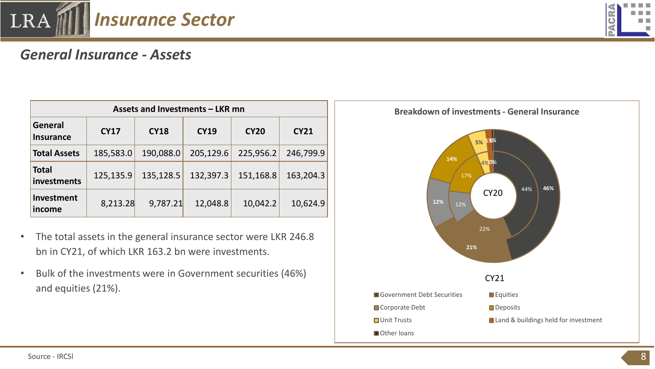

# *General Insurance - Assets*

| Assets and Investments - LKR mn    |             |             |             |             |             |  |  |  |  |  |  |
|------------------------------------|-------------|-------------|-------------|-------------|-------------|--|--|--|--|--|--|
| <b>General</b><br><b>Insurance</b> | <b>CY17</b> | <b>CY18</b> | <b>CY19</b> | <b>CY20</b> | <b>CY21</b> |  |  |  |  |  |  |
| <b>Total Assets</b>                | 185,583.0   | 190,088.0   | 205,129.6   | 225,956.2   | 246,799.9   |  |  |  |  |  |  |
| <b>Total</b><br>investments        | 125,135.9   | 135,128.5   | 132,397.3   | 151,168.8   | 163,204.3   |  |  |  |  |  |  |
| <b>Investment</b><br>income        | 8,213.28    | 9,787.21    | 12,048.8    | 10,042.2    | 10,624.9    |  |  |  |  |  |  |

- The total assets in the general insurance sector were LKR 246.8 bn in CY21, of which LKR 163.2 bn were investments.
- Bulk of the investments were in Government securities (46%) and equities (21%).



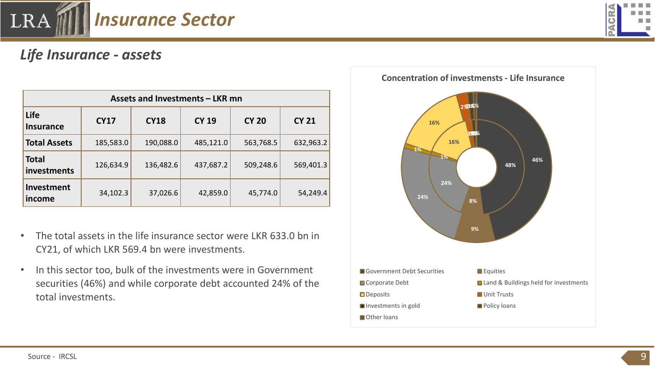

## *Life Insurance - assets*

| Assets and Investments - LKR mn |             |             |              |              |              |  |  |  |  |  |  |
|---------------------------------|-------------|-------------|--------------|--------------|--------------|--|--|--|--|--|--|
| Life<br><b>Insurance</b>        | <b>CY17</b> | <b>CY18</b> | <b>CY 19</b> | <b>CY 20</b> | <b>CY 21</b> |  |  |  |  |  |  |
| <b>Total Assets</b>             | 185,583.0   | 190,088.0   | 485,121.0    | 563,768.5    | 632,963.2    |  |  |  |  |  |  |
| <b>Total</b><br>investments     | 126,634.9   | 136,482.6   | 437,687.2    | 509,248.6    | 569,401.3    |  |  |  |  |  |  |
| Investment<br>income            | 34,102.3    | 37,026.6    | 42,859.0     | 45,774.0     | 54,249.4     |  |  |  |  |  |  |

- The total assets in the life insurance sector were LKR 633.0 bn in CY21, of which LKR 569.4 bn were investments.
- In this sector too, bulk of the investments were in Government securities (46%) and while corporate debt accounted 24% of the total investments.

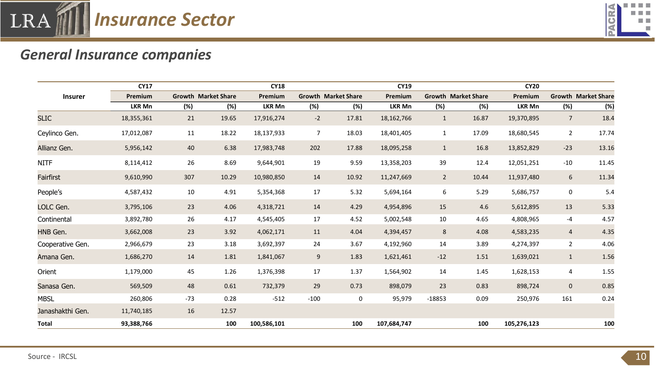



## *General Insurance companies*

|                  | <b>CY17</b>   |       |                            | <b>CY18</b> |        |                            | <b>CY19</b>   |                |                            | <b>CY20</b>   |                 |                            |
|------------------|---------------|-------|----------------------------|-------------|--------|----------------------------|---------------|----------------|----------------------------|---------------|-----------------|----------------------------|
| <b>Insurer</b>   | Premium       |       | <b>Growth Market Share</b> | Premium     |        | <b>Growth Market Share</b> | Premium       |                | <b>Growth Market Share</b> | Premium       |                 | <b>Growth Market Share</b> |
|                  | <b>LKR Mn</b> | (%)   | (%)                        | LKR Mn      | (%)    | (%)                        | <b>LKR Mn</b> | (%)            | (%)                        | <b>LKR Mn</b> | (%)             | (%)                        |
| <b>SLIC</b>      | 18,355,361    | 21    | 19.65                      | 17,916,274  | $-2$   | 17.81                      | 18, 162, 766  | $\mathbf{1}$   | 16.87                      | 19,370,895    | $7\overline{ }$ | 18.4                       |
| Ceylinco Gen.    | 17,012,087    | 11    | 18.22                      | 18,137,933  | 7      | 18.03                      | 18,401,405    | 1              | 17.09                      | 18,680,545    | $\mathbf{2}$    | 17.74                      |
| Allianz Gen.     | 5,956,142     | 40    | 6.38                       | 17,983,748  | 202    | 17.88                      | 18,095,258    | $\mathbf{1}$   | 16.8                       | 13,852,829    | $-23$           | 13.16                      |
| <b>NITF</b>      | 8,114,412     | 26    | 8.69                       | 9,644,901   | 19     | 9.59                       | 13,358,203    | 39             | 12.4                       | 12,051,251    | $-10$           | 11.45                      |
| Fairfirst        | 9,610,990     | 307   | 10.29                      | 10,980,850  | 14     | 10.92                      | 11,247,669    | $\overline{2}$ | 10.44                      | 11,937,480    | 6               | 11.34                      |
| People's         | 4,587,432     | 10    | 4.91                       | 5,354,368   | 17     | 5.32                       | 5,694,164     | 6              | 5.29                       | 5,686,757     | 0               | 5.4                        |
| LOLC Gen.        | 3,795,106     | 23    | 4.06                       | 4,318,721   | 14     | 4.29                       | 4,954,896     | 15             | 4.6                        | 5,612,895     | 13              | 5.33                       |
| Continental      | 3,892,780     | 26    | 4.17                       | 4,545,405   | 17     | 4.52                       | 5,002,548     | 10             | 4.65                       | 4,808,965     | -4              | 4.57                       |
| HNB Gen.         | 3,662,008     | 23    | 3.92                       | 4,062,171   | 11     | 4.04                       | 4,394,457     | $8\phantom{1}$ | 4.08                       | 4,583,235     | $\overline{4}$  | 4.35                       |
| Cooperative Gen. | 2,966,679     | 23    | 3.18                       | 3,692,397   | 24     | 3.67                       | 4,192,960     | 14             | 3.89                       | 4,274,397     | $\overline{2}$  | 4.06                       |
| Amana Gen.       | 1,686,270     | 14    | 1.81                       | 1,841,067   | 9      | 1.83                       | 1,621,461     | $-12$          | 1.51                       | 1,639,021     | $\mathbf{1}$    | 1.56                       |
| Orient           | 1,179,000     | 45    | 1.26                       | 1,376,398   | 17     | 1.37                       | 1,564,902     | 14             | 1.45                       | 1,628,153     | 4               | 1.55                       |
| Sanasa Gen.      | 569,509       | 48    | 0.61                       | 732,379     | 29     | 0.73                       | 898,079       | 23             | 0.83                       | 898,724       | $\mathbf{0}$    | 0.85                       |
| <b>MBSL</b>      | 260,806       | $-73$ | 0.28                       | $-512$      | $-100$ | 0                          | 95,979        | $-18853$       | 0.09                       | 250,976       | 161             | 0.24                       |
| Janashakthi Gen. | 11,740,185    | 16    | 12.57                      |             |        |                            |               |                |                            |               |                 |                            |
| <b>Total</b>     | 93,388,766    |       | 100                        | 100,586,101 |        | 100                        | 107,684,747   |                | 100                        | 105,276,123   |                 | 100                        |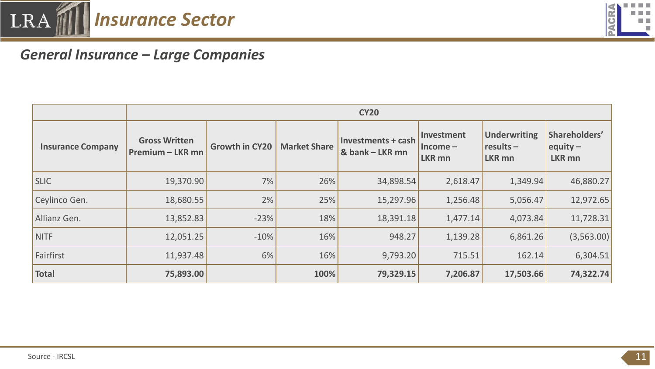



# *General Insurance – Large Companies*

|                          |                                                 |                                              |      | <b>CY20</b>                                  |                                          |                                                     |                                              |
|--------------------------|-------------------------------------------------|----------------------------------------------|------|----------------------------------------------|------------------------------------------|-----------------------------------------------------|----------------------------------------------|
| <b>Insurance Company</b> | <b>Gross Written</b><br><b>Premium - LKR mn</b> | <b>Growth in CY20</b><br><b>Market Share</b> |      | <b>Investments + cash</b><br>& bank - LKR mn | Investment<br>$Income-$<br><b>LKR mn</b> | <b>Underwriting</b><br>$results -$<br><b>LKR mn</b> | Shareholders'<br>equity $-$<br><b>LKR mn</b> |
| <b>SLIC</b>              | 19,370.90                                       | 7%                                           | 26%  | 34,898.54                                    | 2,618.47                                 | 1,349.94                                            | 46,880.27                                    |
| Ceylinco Gen.            | 18,680.55                                       | 2%                                           | 25%  | 15,297.96                                    | 1,256.48                                 | 5,056.47                                            | 12,972.65                                    |
| Allianz Gen.             | 13,852.83                                       | $-23%$                                       | 18%  | 18,391.18                                    | 1,477.14                                 | 4,073.84                                            | 11,728.31                                    |
| NITF                     | 12,051.25                                       | $-10%$                                       | 16%  | 948.27                                       | 1,139.28                                 | 6,861.26                                            | (3,563.00)                                   |
| Fairfirst                | 11,937.48                                       | 6%                                           | 16%  | 9,793.20                                     | 715.51                                   | 162.14                                              | 6,304.51                                     |
| <b>Total</b>             | 75,893.00                                       |                                              | 100% | 79,329.15                                    | 7,206.87                                 | 17,503.66                                           | 74,322.74                                    |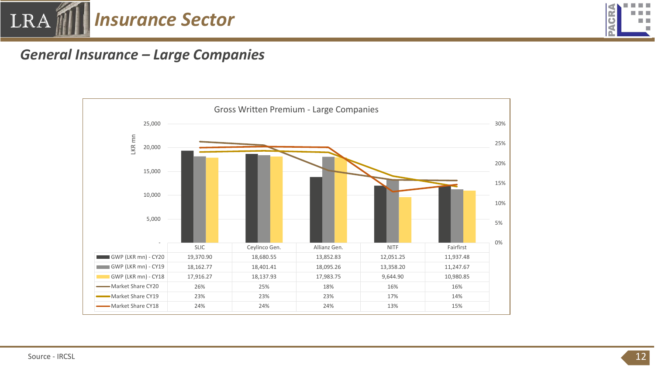



#### *General Insurance – Large Companies*

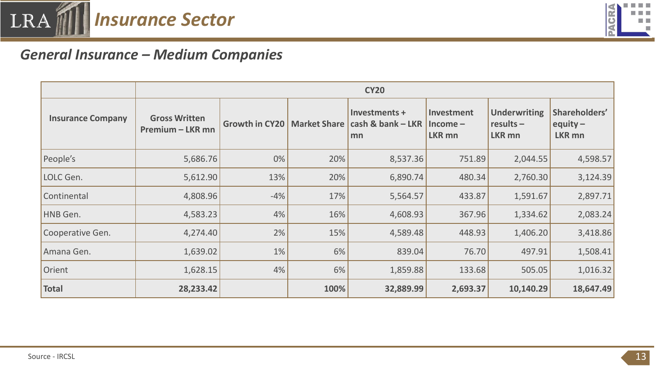![](_page_12_Picture_0.jpeg)

![](_page_12_Picture_1.jpeg)

#### *General Insurance – Medium Companies*

|                          |                                                                   |       |                     | <b>CY20</b>                              |                                           |                                                     |                                              |  |
|--------------------------|-------------------------------------------------------------------|-------|---------------------|------------------------------------------|-------------------------------------------|-----------------------------------------------------|----------------------------------------------|--|
| <b>Insurance Company</b> | <b>Gross Written</b><br>Growth in CY20<br><b>Premium - LKR mn</b> |       | <b>Market Share</b> | Investments +<br>cash & bank - LKR<br>mn | Investment<br>$Income -$<br><b>LKR mn</b> | <b>Underwriting</b><br>$results -$<br><b>LKR mn</b> | Shareholders'<br>equity $-$<br><b>LKR mn</b> |  |
| People's                 | 5,686.76                                                          | 0%    | 20%                 | 8,537.36                                 | 751.89                                    | 2,044.55                                            | 4,598.57                                     |  |
| LOLC Gen.                | 5,612.90                                                          | 13%   | 20%                 | 6,890.74                                 | 480.34                                    | 2,760.30                                            | 3,124.39                                     |  |
| Continental              | 4,808.96                                                          | $-4%$ | 17%                 | 5,564.57                                 | 433.87                                    | 1,591.67                                            | 2,897.71                                     |  |
| HNB Gen.                 | 4,583.23                                                          | 4%    | 16%                 | 4,608.93                                 | 367.96                                    | 1,334.62                                            | 2,083.24                                     |  |
| Cooperative Gen.         | 4,274.40                                                          | 2%    | 15%                 | 4,589.48                                 | 448.93                                    | 1,406.20                                            | 3,418.86                                     |  |
| Amana Gen.               | 1,639.02                                                          | 1%    | 6%                  | 839.04                                   | 76.70                                     | 497.91                                              | 1,508.41                                     |  |
| Orient                   | 1,628.15                                                          | 4%    | 6%                  | 1,859.88                                 | 133.68                                    | 505.05                                              | 1,016.32                                     |  |
| <b>Total</b>             | 28,233.42                                                         |       | 100%                | 32,889.99                                | 2,693.37                                  | 10,140.29                                           | 18,647.49                                    |  |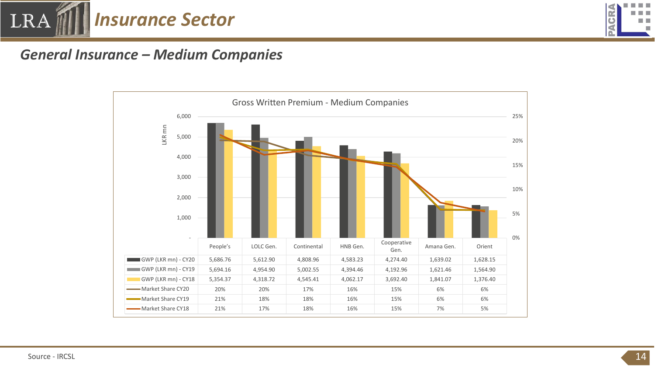![](_page_13_Picture_0.jpeg)

![](_page_13_Picture_1.jpeg)

#### *General Insurance – Medium Companies*

![](_page_13_Figure_3.jpeg)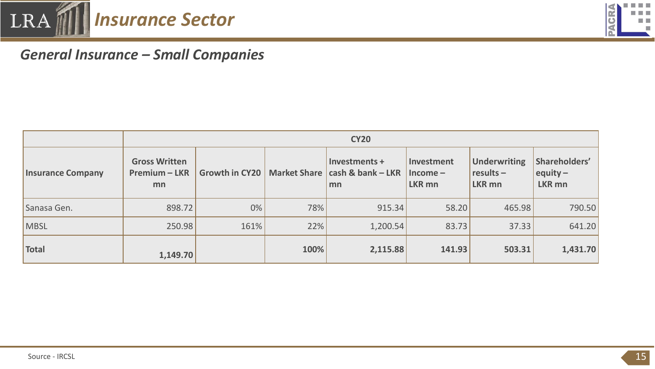![](_page_14_Picture_0.jpeg)

![](_page_14_Picture_1.jpeg)

## *General Insurance – Small Companies*

|                          |                                             | <b>CY20</b>           |                     |                                          |                                    |                                              |                                       |  |  |  |  |  |
|--------------------------|---------------------------------------------|-----------------------|---------------------|------------------------------------------|------------------------------------|----------------------------------------------|---------------------------------------|--|--|--|--|--|
| <b>Insurance Company</b> | <b>Gross Written</b><br>Premium - LKR<br>mn | <b>Growth in CY20</b> | <b>Market Share</b> | Investments +<br>cash & bank - LKR<br>mn | Investment<br>$Income -$<br>LKR mn | <b>Underwriting</b><br>$results -$<br>LKR mn | Shareholders'<br>equity $-$<br>LKR mn |  |  |  |  |  |
| Sanasa Gen.              | 898.72                                      | 0%                    | 78%                 | 915.34                                   | 58.20                              | 465.98                                       | 790.50                                |  |  |  |  |  |
| <b>MBSL</b>              | 250.98                                      | 161%                  | 22%                 | 1,200.54                                 | 83.73                              | 37.33                                        | 641.20                                |  |  |  |  |  |
| <b>Total</b>             | 1,149.70                                    |                       | 100%                | 2,115.88                                 | 141.93                             | 503.31                                       | 1,431.70                              |  |  |  |  |  |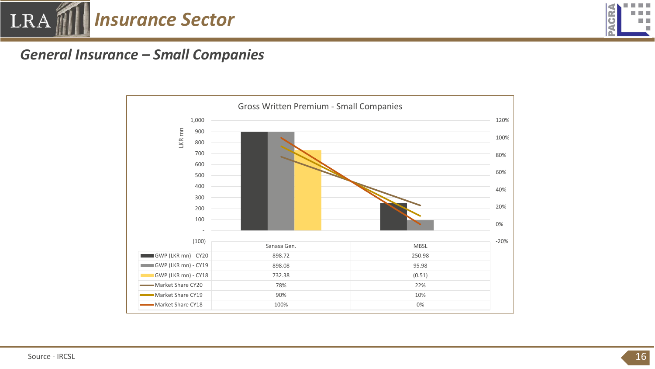![](_page_15_Picture_0.jpeg)

![](_page_15_Picture_1.jpeg)

#### *General Insurance – Small Companies*

![](_page_15_Figure_3.jpeg)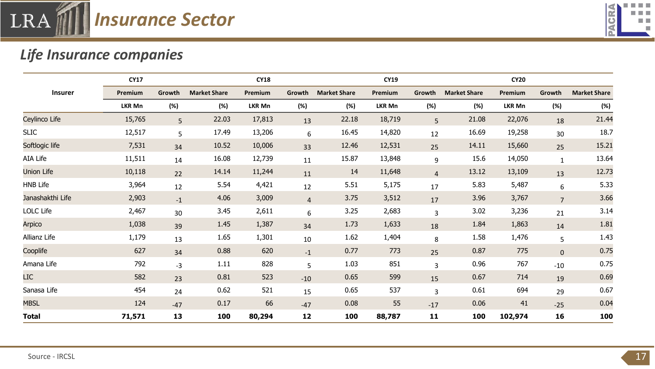![](_page_16_Picture_0.jpeg)

![](_page_16_Picture_1.jpeg)

# *Life Insurance companies*

|                   | <b>CY17</b>   |        |                     | <b>CY18</b> |                |                     | <b>CY19</b>    |                |                     | <b>CY20</b>   |                |                     |
|-------------------|---------------|--------|---------------------|-------------|----------------|---------------------|----------------|----------------|---------------------|---------------|----------------|---------------------|
| <b>Insurer</b>    | Premium       | Growth | <b>Market Share</b> | Premium     | Growth         | <b>Market Share</b> | <b>Premium</b> | Growth         | <b>Market Share</b> | Premium       | Growth         | <b>Market Share</b> |
|                   | <b>LKR Mn</b> | (%)    | (%)                 | LKR Mn      | (%)            | (%)                 | LKR Mn         | (%)            | (%)                 | <b>LKR Mn</b> | (%)            | (%)                 |
| Ceylinco Life     | 15,765        | 5      | 22.03               | 17,813      | 13             | 22.18               | 18,719         | 5 <sup>1</sup> | 21.08               | 22,076        | 18             | 21.44               |
| <b>SLIC</b>       | 12,517        | 5      | 17.49               | 13,206      | 6              | 16.45               | 14,820         | 12             | 16.69               | 19,258        | 30             | 18.7                |
| Softlogic life    | 7,531         | 34     | 10.52               | 10,006      | 33             | 12.46               | 12,531         | 25             | 14.11               | 15,660        | 25             | 15.21               |
| AIA Life          | 11,511        | 14     | 16.08               | 12,739      | 11             | 15.87               | 13,848         | 9              | 15.6                | 14,050        | $\mathbf{1}$   | 13.64               |
| <b>Union Life</b> | 10,118        | 22     | 14.14               | 11,244      | 11             | 14                  | 11,648         | $\overline{4}$ | 13.12               | 13,109        | 13             | 12.73               |
| <b>HNB Life</b>   | 3,964         | 12     | 5.54                | 4,421       | 12             | 5.51                | 5,175          | 17             | 5.83                | 5,487         | 6              | 5.33                |
| Janashakthi Life  | 2,903         | $-1$   | 4.06                | 3,009       | $\overline{a}$ | 3.75                | 3,512          | 17             | 3.96                | 3,767         | $\overline{7}$ | 3.66                |
| LOLC Life         | 2,467         | 30     | 3.45                | 2,611       | 6              | 3.25                | 2,683          | 3              | 3.02                | 3,236         | 21             | 3.14                |
| Arpico            | 1,038         | 39     | 1.45                | 1,387       | 34             | 1.73                | 1,633          | 18             | 1.84                | 1,863         | 14             | 1.81                |
| Allianz Life      | 1,179         | 13     | 1.65                | 1,301       | 10             | 1.62                | 1,404          | 8              | 1.58                | 1,476         | 5              | 1.43                |
| Cooplife          | 627           | 34     | 0.88                | 620         | $-1$           | 0.77                | 773            | 25             | 0.87                | 775           | $\mathbf 0$    | 0.75                |
| Amana Life        | 792           | $-3$   | 1.11                | 828         | 5              | 1.03                | 851            | 3              | 0.96                | 767           | $-10$          | 0.75                |
| <b>LIC</b>        | 582           | 23     | 0.81                | 523         | $-10$          | 0.65                | 599            | 15             | 0.67                | 714           | 19             | 0.69                |
| Sanasa Life       | 454           | 24     | 0.62                | 521         | 15             | 0.65                | 537            | 3              | 0.61                | 694           | 29             | 0.67                |
| <b>MBSL</b>       | 124           | $-47$  | 0.17                | 66          | $-47$          | 0.08                | 55             | $-17$          | 0.06                | 41            | $-25$          | 0.04                |
| <b>Total</b>      | 71,571        | 13     | 100                 | 80,294      | 12             | 100                 | 88,787         | 11             | 100                 | 102,974       | 16             | 100                 |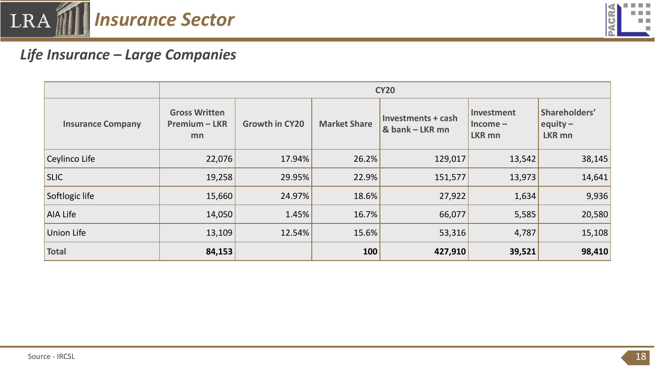![](_page_17_Picture_0.jpeg)

![](_page_17_Picture_1.jpeg)

### *Life Insurance – Large Companies*

|                          | <b>CY20</b>                                        |                       |                                                              |         |                                               |                                              |  |  |  |
|--------------------------|----------------------------------------------------|-----------------------|--------------------------------------------------------------|---------|-----------------------------------------------|----------------------------------------------|--|--|--|
| <b>Insurance Company</b> | <b>Gross Written</b><br><b>Premium - LKR</b><br>mn | <b>Growth in CY20</b> | Investments + cash<br><b>Market Share</b><br>& bank - LKR mn |         | Investment<br>$ $ Income $-$<br><b>LKR mn</b> | Shareholders'<br>equity $-$<br><b>LKR mn</b> |  |  |  |
| Ceylinco Life            | 22,076                                             | 17.94%                | 26.2%                                                        | 129,017 | 13,542                                        | 38,145                                       |  |  |  |
| <b>SLIC</b>              | 19,258                                             | 29.95%                | 22.9%                                                        | 151,577 | 13,973                                        | 14,641                                       |  |  |  |
| Softlogic life           | 15,660                                             | 24.97%                | 18.6%                                                        | 27,922  | 1,634                                         | 9,936                                        |  |  |  |
| AIA Life                 | 14,050                                             | 1.45%                 | 16.7%                                                        | 66,077  | 5,585                                         | 20,580                                       |  |  |  |
| Union Life               | 13,109                                             | 12.54%                | 15.6%                                                        | 53,316  | 4,787                                         | 15,108                                       |  |  |  |
| Total                    | 84,153                                             |                       | 100                                                          | 427,910 | 39,521                                        | 98,410                                       |  |  |  |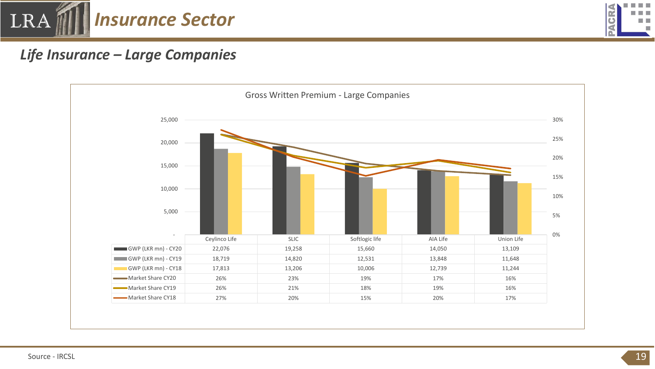![](_page_18_Picture_0.jpeg)

![](_page_18_Picture_1.jpeg)

### *Life Insurance – Large Companies*

![](_page_18_Figure_3.jpeg)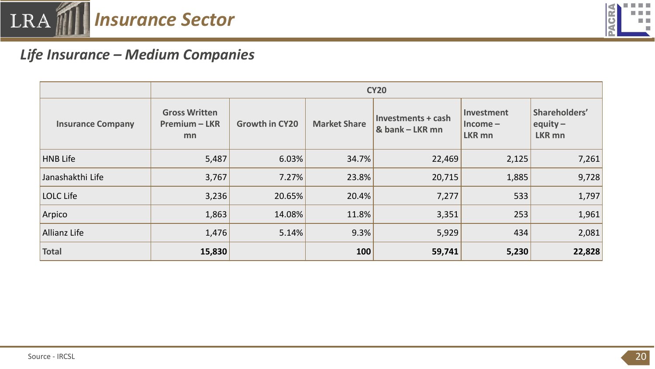![](_page_19_Picture_0.jpeg)

![](_page_19_Picture_1.jpeg)

## *Life Insurance – Medium Companies*

|                          |                                                    | <b>CY20</b>           |                     |                                       |       |                                              |  |  |  |  |
|--------------------------|----------------------------------------------------|-----------------------|---------------------|---------------------------------------|-------|----------------------------------------------|--|--|--|--|
| <b>Insurance Company</b> | <b>Gross Written</b><br><b>Premium - LKR</b><br>mn | <b>Growth in CY20</b> | <b>Market Share</b> | Investments + cash<br>& bank - LKR mn |       | Shareholders'<br>equity $-$<br><b>LKR mn</b> |  |  |  |  |
| <b>HNB</b> Life          | 5,487                                              | 6.03%                 | 34.7%               | 22,469                                | 2,125 | 7,261                                        |  |  |  |  |
| Janashakthi Life         | 3,767                                              | 7.27%                 | 23.8%               | 20,715                                | 1,885 | 9,728                                        |  |  |  |  |
| LOLC Life                | 3,236                                              | 20.65%                | 20.4%               | 7,277                                 | 533   | 1,797                                        |  |  |  |  |
| Arpico                   | 1,863                                              | 14.08%                | 11.8%               | 3,351                                 | 253   | 1,961                                        |  |  |  |  |
| <b>Allianz Life</b>      | 1,476                                              | 5.14%                 | 9.3%                | 5,929                                 | 434   | 2,081                                        |  |  |  |  |
| <b>Total</b>             | 15,830                                             |                       | 100                 | 59,741                                | 5,230 | 22,828                                       |  |  |  |  |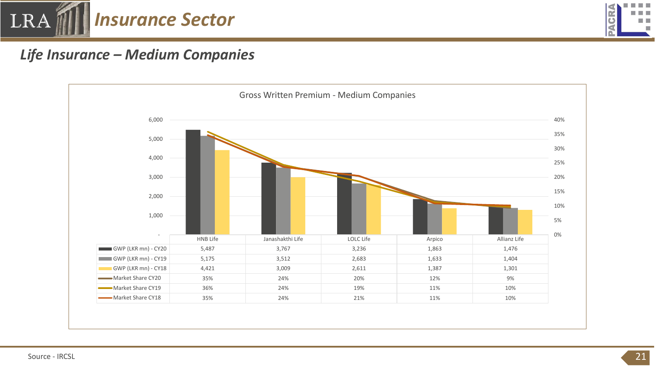![](_page_20_Picture_0.jpeg)

![](_page_20_Picture_1.jpeg)

#### *Life Insurance – Medium Companies*

![](_page_20_Figure_3.jpeg)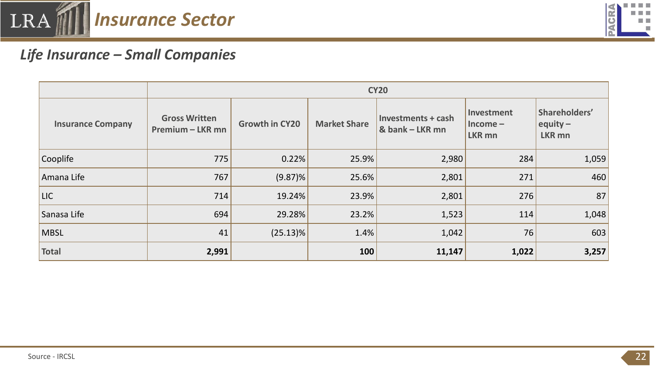![](_page_21_Picture_0.jpeg)

![](_page_21_Picture_1.jpeg)

## *Life Insurance – Small Companies*

|                          |                                                 | <b>CY20</b>           |                     |                                       |                                          |                                              |  |  |  |  |
|--------------------------|-------------------------------------------------|-----------------------|---------------------|---------------------------------------|------------------------------------------|----------------------------------------------|--|--|--|--|
| <b>Insurance Company</b> | <b>Gross Written</b><br><b>Premium - LKR mn</b> | <b>Growth in CY20</b> | <b>Market Share</b> | Investments + cash<br>& bank - LKR mn | Investment<br>$Income-$<br><b>LKR mn</b> | Shareholders'<br>equity $-$<br><b>LKR mn</b> |  |  |  |  |
| Cooplife                 | 775                                             | 0.22%                 | 25.9%               | 2,980                                 | 284                                      | 1,059                                        |  |  |  |  |
| Amana Life               | 767                                             | $(9.87)\%$            | 25.6%               | 2,801                                 | 271                                      | 460                                          |  |  |  |  |
| <b>LIC</b>               | 714                                             | 19.24%                | 23.9%               | 2,801                                 | 276                                      | 87                                           |  |  |  |  |
| Sanasa Life              | 694                                             | 29.28%                | 23.2%               | 1,523                                 | 114                                      | 1,048                                        |  |  |  |  |
| <b>MBSL</b>              | 41                                              | $(25.13)\%$           | 1.4%                | 1,042                                 | 76                                       | 603                                          |  |  |  |  |
| <b>Total</b>             | 2,991                                           |                       | 100                 | 11,147                                | 1,022                                    | 3,257                                        |  |  |  |  |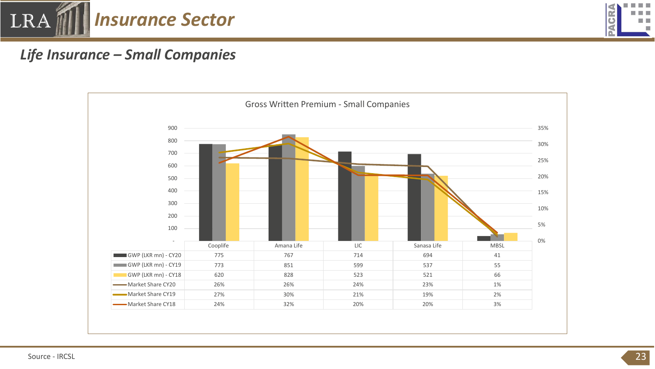![](_page_22_Picture_0.jpeg)

![](_page_22_Picture_1.jpeg)

## *Life Insurance – Small Companies*

![](_page_22_Figure_3.jpeg)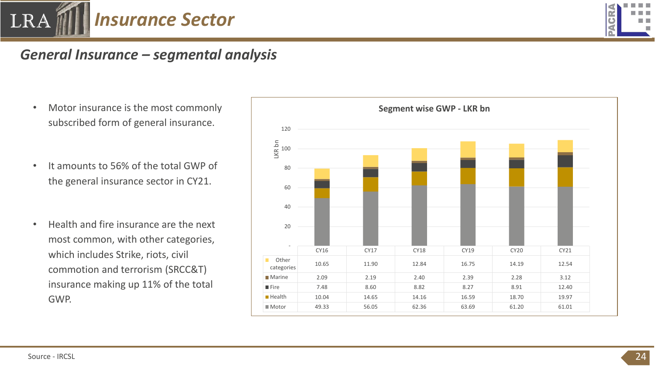![](_page_23_Picture_0.jpeg)

![](_page_23_Picture_1.jpeg)

#### *General Insurance – segmental analysis*

- Motor insurance is the most commonly subscribed form of general insurance.
- It amounts to 56% of the total GWP of the general insurance sector in CY21.
- Health and fire insurance are the next most common, with other categories, which includes Strike, riots, civil commotion and terrorism (SRCC&T) insurance making up 11% of the total GWP.

![](_page_23_Figure_6.jpeg)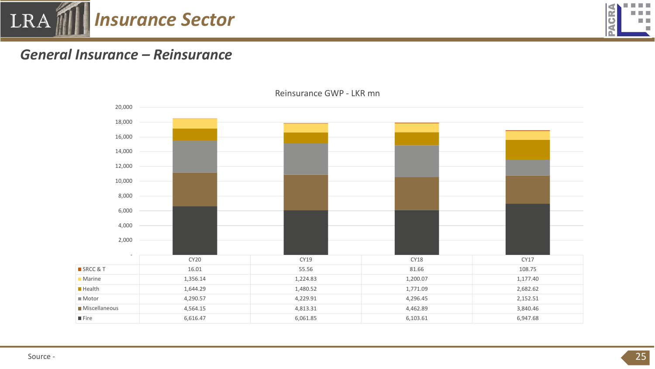![](_page_24_Picture_0.jpeg)

![](_page_24_Picture_1.jpeg)

#### *General Insurance – Reinsurance*

![](_page_24_Figure_3.jpeg)

Reinsurance GWP - LKR mn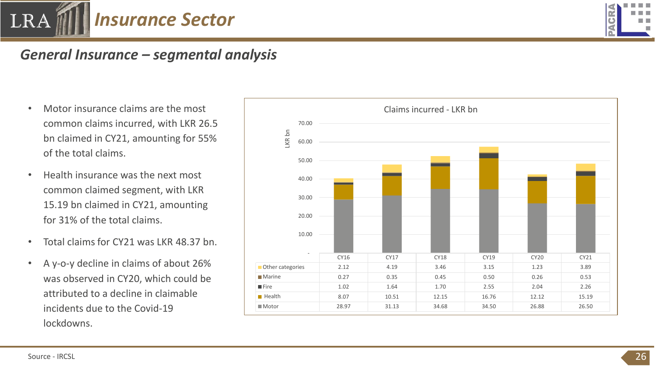![](_page_25_Picture_0.jpeg)

![](_page_25_Picture_1.jpeg)

#### *General Insurance – segmental analysis*

- common claims incurred, with LKR 26.5 bn claimed in CY21, amounting for 55% of the total claims.
- Health insurance was the next most common claimed segment, with LKR 15.19 bn claimed in CY21, amounting for 31% of the total claims.
- Total claims for CY21 was LKR 48.37 bn.
- A y-o-y decline in claims of about 26% was observed in CY20, which could be attributed to a decline in claimable incidents due to the Covid-19 lockdowns.

![](_page_25_Figure_7.jpeg)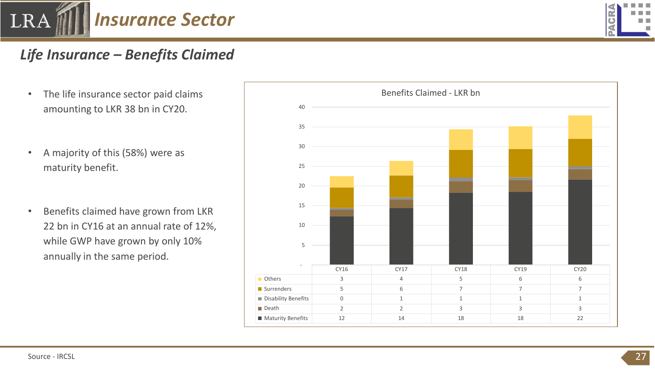![](_page_26_Picture_0.jpeg)

# ·

## *Life Insurance – Benefits Claimed*

- amounting to LKR 38 bn in CY20.
- A majority of this (58%) were as maturity benefit.
- Benefits claimed have grown from LKR 22 bn in CY16 at an annual rate of 12%, while GWP have grown by only 10% annually in the same period.

![](_page_26_Figure_6.jpeg)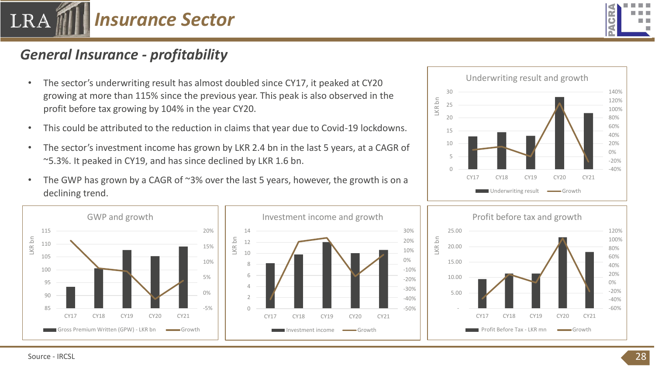![](_page_27_Picture_0.jpeg)

![](_page_27_Picture_1.jpeg)

### *General Insurance - profitability*

- The sector's underwriting result has almost doubled since CY17, it peaked at CY20 growing at more than 115% since the previous year. This peak is also observed in the profit before tax growing by 104% in the year CY20.
- This could be attributed to the reduction in claims that year due to Covid-19 lockdowns.
- The sector's investment income has grown by LKR 2.4 bn in the last 5 years, at a CAGR of ~5.3%. It peaked in CY19, and has since declined by LKR 1.6 bn.
- The GWP has grown by a CAGR of ~3% over the last 5 years, however, the growth is on a declining trend.

![](_page_27_Figure_7.jpeg)

![](_page_27_Figure_8.jpeg)

![](_page_27_Figure_9.jpeg)

![](_page_27_Figure_10.jpeg)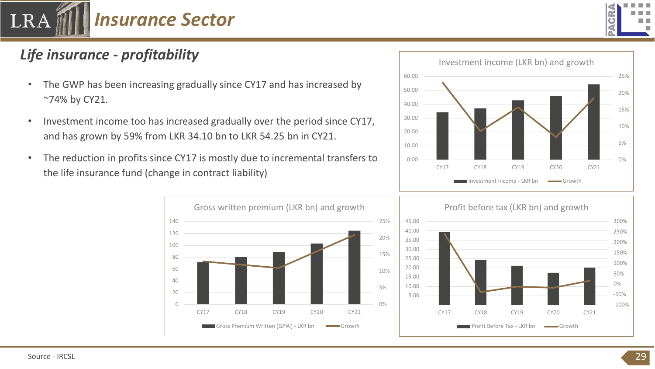![](_page_28_Picture_0.jpeg)

![](_page_28_Picture_1.jpeg)

# *Life insurance - profitability*

- The GWP has been increasing gradually since CY17 and has increased by ~74% by CY21.
- Investment income too has increased gradually over the period since CY17, and has grown by 59% from LKR 34.10 bn to LKR 54.25 bn in CY21.
- The reduction in profits since CY17 is mostly due to incremental transfers to the life insurance fund (change in contract liability)

CY17 CY18 CY19 CY20 CY21

Gross Premium Written (GPW) - LKR bn Growth

![](_page_28_Figure_6.jpeg)

![](_page_28_Figure_7.jpeg)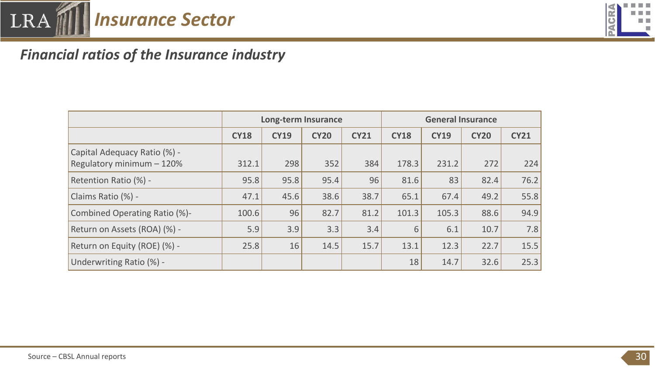![](_page_29_Picture_0.jpeg)

![](_page_29_Picture_1.jpeg)

# *Financial ratios of the Insurance industry*

|                                                           | <b>Long-term Insurance</b> |             |             |             | <b>General Insurance</b> |             |             |             |
|-----------------------------------------------------------|----------------------------|-------------|-------------|-------------|--------------------------|-------------|-------------|-------------|
|                                                           | <b>CY18</b>                | <b>CY19</b> | <b>CY20</b> | <b>CY21</b> | <b>CY18</b>              | <b>CY19</b> | <b>CY20</b> | <b>CY21</b> |
| Capital Adequacy Ratio (%) -<br>Regulatory minimum - 120% | 312.1                      | 298         | 352         | 384         | 178.3                    | 231.2       | 272         | 224         |
| Retention Ratio (%) -                                     | 95.8                       | 95.8        | 95.4        | 96          | 81.6                     | 83          | 82.4        | 76.2        |
| Claims Ratio (%) -                                        | 47.1                       | 45.6        | 38.6        | 38.7        | 65.1                     | 67.4        | 49.2        | 55.8        |
| Combined Operating Ratio (%)-                             | 100.6                      | 96          | 82.7        | 81.2        | 101.3                    | 105.3       | 88.6        | 94.9        |
| Return on Assets (ROA) (%) -                              | 5.9                        | 3.9         | 3.3         | 3.4         | 6                        | 6.1         | 10.7        | 7.8         |
| Return on Equity (ROE) (%) -                              | 25.8                       | 16          | 14.5        | 15.7        | 13.1                     | 12.3        | 22.7        | 15.5        |
| Underwriting Ratio (%) -                                  |                            |             |             |             | 18                       | 14.7        | 32.6        | 25.3        |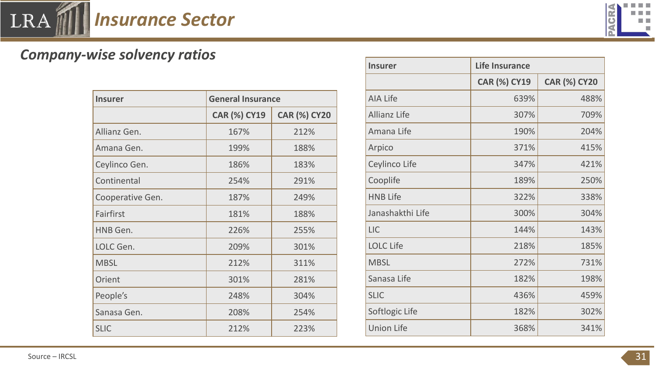![](_page_30_Picture_0.jpeg)

![](_page_30_Picture_1.jpeg)

# *Company-wise solvency ratios*

| <b>Insurer</b>   | <b>General Insurance</b> |                     |  |  |  |
|------------------|--------------------------|---------------------|--|--|--|
|                  | <b>CAR (%) CY19</b>      | <b>CAR (%) CY20</b> |  |  |  |
| Allianz Gen.     | 167%                     | 212%                |  |  |  |
| Amana Gen.       | 199%                     | 188%                |  |  |  |
| Ceylinco Gen.    | 186%                     | 183%                |  |  |  |
| Continental      | 254%                     | 291%                |  |  |  |
| Cooperative Gen. | 187%                     | 249%                |  |  |  |
| Fairfirst        | 181%                     | 188%                |  |  |  |
| HNB Gen.         | 226%                     | 255%                |  |  |  |
| LOLC Gen.        | 209%                     | 301%                |  |  |  |
| <b>MBSL</b>      | 212%                     | 311%                |  |  |  |
| Orient           | 301%                     | 281%                |  |  |  |
| People's         | 248%                     | 304%                |  |  |  |
| Sanasa Gen.      | 208%                     | 254%                |  |  |  |
| <b>SLIC</b>      | 212%                     | 223%                |  |  |  |

| <b>Insurer</b>      | <b>Life Insurance</b> |                     |  |  |
|---------------------|-----------------------|---------------------|--|--|
|                     | <b>CAR (%) CY19</b>   | <b>CAR (%) CY20</b> |  |  |
| <b>AIA Life</b>     | 639%                  | 488%                |  |  |
| <b>Allianz Life</b> | 307%                  | 709%                |  |  |
| Amana Life          | 190%                  | 204%                |  |  |
| Arpico              | 371%                  | 415%                |  |  |
| Ceylinco Life       | 347%                  | 421%                |  |  |
| Cooplife            | 189%                  | 250%                |  |  |
| <b>HNB Life</b>     | 322%                  | 338%                |  |  |
| Janashakthi Life    | 300%                  | 304%                |  |  |
| <b>LIC</b>          | 144%                  | 143%                |  |  |
| <b>LOLC Life</b>    | 218%                  | 185%                |  |  |
| <b>MBSL</b>         | 272%                  | 731%                |  |  |
| Sanasa Life         | 182%                  | 198%                |  |  |
| <b>SLIC</b>         | 436%                  | 459%                |  |  |
| Softlogic Life      | 182%                  | 302%                |  |  |
| <b>Union Life</b>   | 368%                  | 341%                |  |  |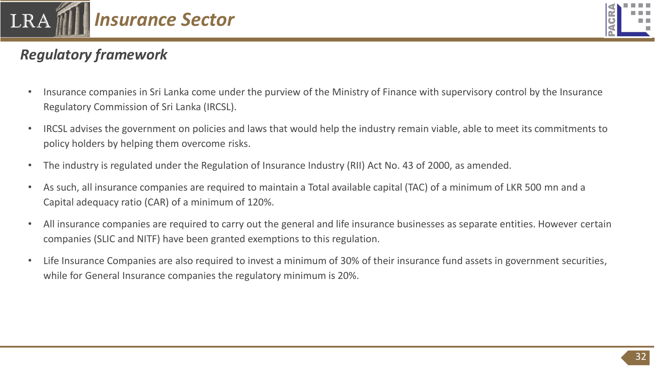![](_page_31_Picture_0.jpeg)

![](_page_31_Picture_1.jpeg)

# *Regulatory framework*

- Insurance companies in Sri Lanka come under the purview of the Ministry of Finance with supervisory control by the Insurance Regulatory Commission of Sri Lanka (IRCSL).
- IRCSL advises the government on policies and laws that would help the industry remain viable, able to meet its commitments to policy holders by helping them overcome risks.
- The industry is regulated under the Regulation of Insurance Industry (RII) Act No. 43 of 2000, as amended.
- As such, all insurance companies are required to maintain a Total available capital (TAC) of a minimum of LKR 500 mn and a Capital adequacy ratio (CAR) of a minimum of 120%.
- All insurance companies are required to carry out the general and life insurance businesses as separate entities. However certain companies (SLIC and NITF) have been granted exemptions to this regulation.
- Life Insurance Companies are also required to invest a minimum of 30% of their insurance fund assets in government securities, while for General Insurance companies the regulatory minimum is 20%.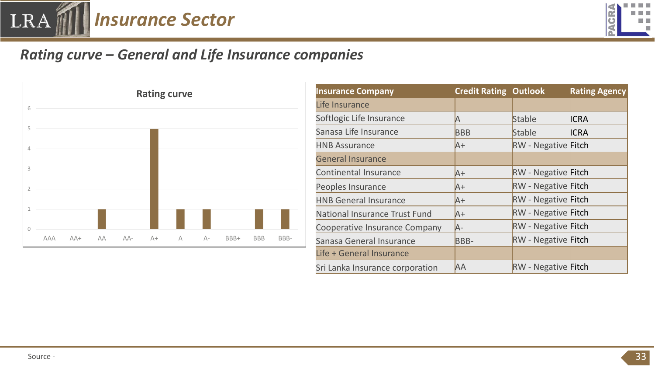![](_page_32_Picture_0.jpeg)

![](_page_32_Picture_1.jpeg)

# *Rating curve – General and Life Insurance companies*

![](_page_32_Figure_3.jpeg)

| <b>Rating curve</b> |   | <b>Insurance Company</b> | <b>Credit Rating Outlook</b> |            | <b>Rating Agency</b> |                                 |            |                                   |             |
|---------------------|---|--------------------------|------------------------------|------------|----------------------|---------------------------------|------------|-----------------------------------|-------------|
|                     |   | Life Insurance           |                              |            |                      |                                 |            |                                   |             |
|                     |   |                          |                              |            |                      | Softlogic Life Insurance        |            | Stable                            | <b>ICRA</b> |
|                     |   |                          |                              |            |                      | Sanasa Life Insurance           | <b>BBB</b> | Stable                            | <b>ICRA</b> |
|                     |   |                          |                              |            |                      | <b>HNB Assurance</b>            | $A+$       | <b>RW</b> - Negative <b>Fitch</b> |             |
|                     |   |                          |                              |            |                      | <b>General Insurance</b>        |            |                                   |             |
|                     |   |                          |                              |            |                      | Continental Insurance           | $A+$       | <b>RW</b> - Negative <b>Fitch</b> |             |
|                     |   |                          |                              |            |                      | Peoples Insurance               | $A+$       | <b>RW</b> - Negative <b>Fitch</b> |             |
|                     |   |                          |                              |            |                      | <b>HNB General Insurance</b>    | $A+$       | <b>RW</b> - Negative <b>Fitch</b> |             |
|                     |   |                          |                              |            |                      | National Insurance Trust Fund   | $A+$       | <b>RW</b> - Negative <b>Fitch</b> |             |
|                     |   |                          |                              |            |                      | Cooperative Insurance Company   | A-         | <b>RW</b> - Negative <b>Fitch</b> |             |
| $A+$                | A | $A-$                     | BBB+                         | <b>BBB</b> | BBB-                 | Sanasa General Insurance        | BBB-       | <b>RW</b> - Negative <b>Fitch</b> |             |
|                     |   |                          |                              |            |                      | Life + General Insurance        |            |                                   |             |
|                     |   |                          |                              |            |                      | Sri Lanka Insurance corporation | <b>AA</b>  | <b>RW</b> - Negative <b>Fitch</b> |             |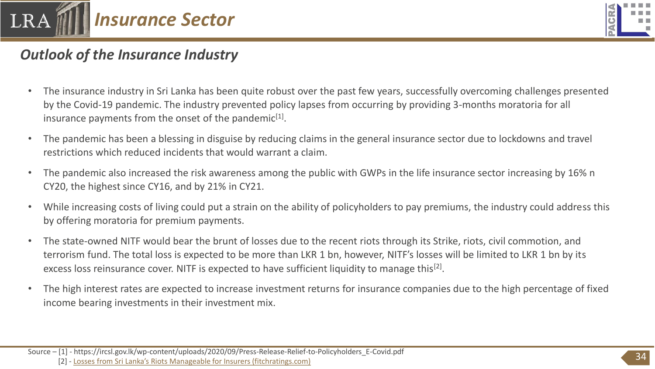![](_page_33_Picture_0.jpeg)

![](_page_33_Picture_1.jpeg)

## *Outlook of the Insurance Industry*

- The insurance industry in Sri Lanka has been quite robust over the past few years, successfully overcoming challenges presented by the Covid-19 pandemic. The industry prevented policy lapses from occurring by providing 3-months moratoria for all insurance payments from the onset of the pandemic $[1]$ .
- The pandemic has been a blessing in disguise by reducing claims in the general insurance sector due to lockdowns and travel restrictions which reduced incidents that would warrant a claim.
- The pandemic also increased the risk awareness among the public with GWPs in the life insurance sector increasing by 16% n CY20, the highest since CY16, and by 21% in CY21.
- While increasing costs of living could put a strain on the ability of policyholders to pay premiums, the industry could address this by offering moratoria for premium payments.
- The state-owned NITF would bear the brunt of losses due to the recent riots through its Strike, riots, civil commotion, and terrorism fund. The total loss is expected to be more than LKR 1 bn, however, NITF's losses will be limited to LKR 1 bn by its excess loss reinsurance cover. NITF is expected to have sufficient liquidity to manage this<sup>[2]</sup>.
- The high interest rates are expected to increase investment returns for insurance companies due to the high percentage of fixed income bearing investments in their investment mix.

[2] - [Losses from Sri Lanka's Riots Manageable for Insurers \(fitchratings.com\)](https://www.fitchratings.com/research/insurance/losses-from-sri-lankas-riots-manageable-for-insurers-26-05-2022)

Source – [1] - https://ircsl.gov.lk/wp-content/uploads/2020/09/Press-Release-Relief-to-Policyholders\_E-Covid.pdf